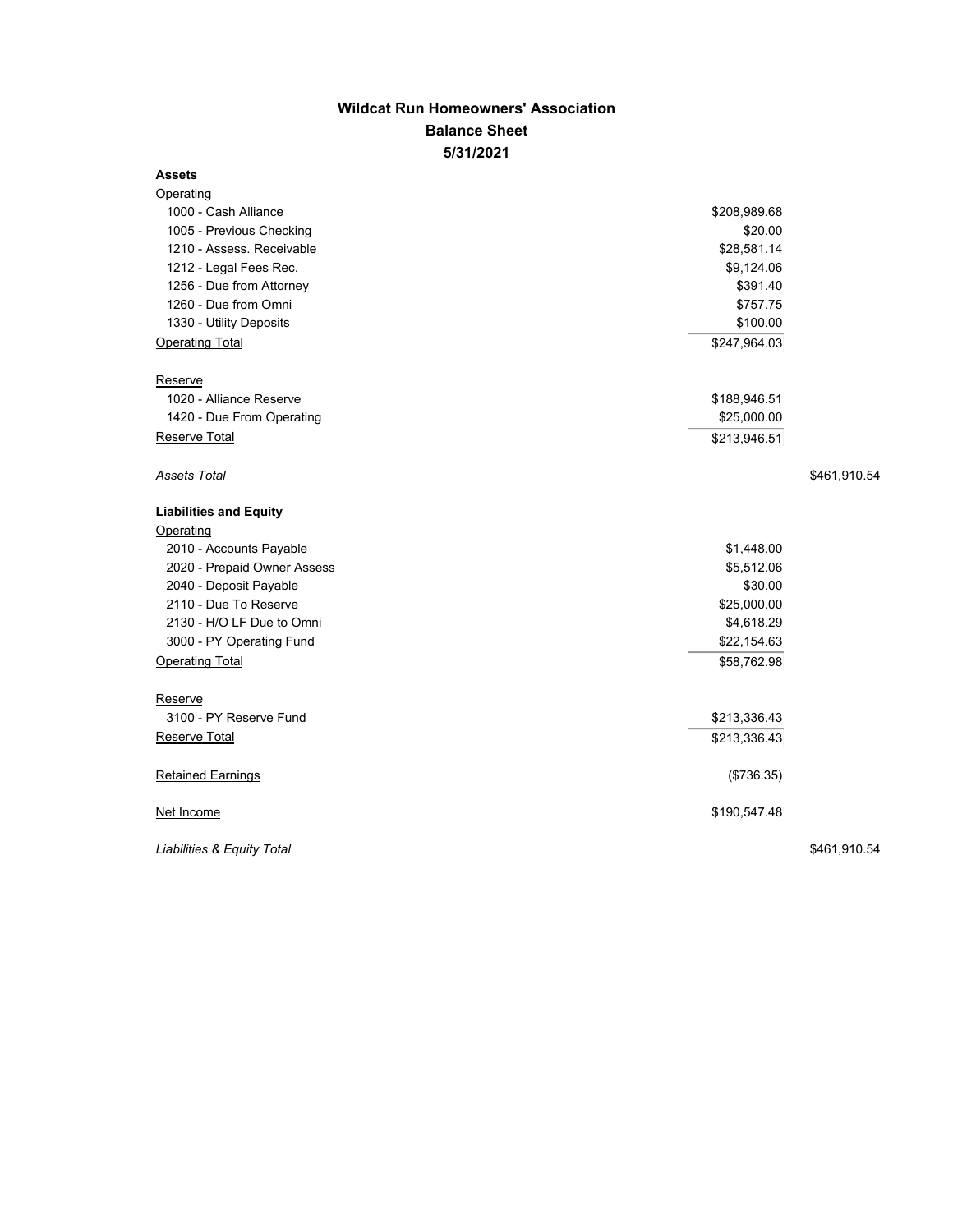## **Wildcat Run Homeowners' Association Balance Sheet 5/31/2021**

## **Assets**

| <b>Operating</b>              |              |  |
|-------------------------------|--------------|--|
| 1000 - Cash Alliance          | \$208,989.68 |  |
| 1005 - Previous Checking      | \$20.00      |  |
| 1210 - Assess. Receivable     | \$28,581.14  |  |
| 1212 - Legal Fees Rec.        | \$9,124.06   |  |
| 1256 - Due from Attorney      | \$391.40     |  |
| 1260 - Due from Omni          | \$757.75     |  |
| 1330 - Utility Deposits       | \$100.00     |  |
| <b>Operating Total</b>        | \$247,964.03 |  |
| Reserve                       |              |  |
| 1020 - Alliance Reserve       | \$188,946.51 |  |
| 1420 - Due From Operating     | \$25,000.00  |  |
| Reserve Total                 | \$213,946.51 |  |
| Assets Total                  | \$461,910.54 |  |
| <b>Liabilities and Equity</b> |              |  |
| Operating                     |              |  |
| 2010 - Accounts Payable       | \$1,448.00   |  |
| 2020 - Prepaid Owner Assess   | \$5,512.06   |  |
| 2040 - Deposit Payable        | \$30.00      |  |
| 2110 - Due To Reserve         | \$25,000.00  |  |
| 2130 - H/O LF Due to Omni     | \$4,618.29   |  |
| 3000 - PY Operating Fund      | \$22,154.63  |  |
| <b>Operating Total</b>        | \$58,762.98  |  |
| Reserve                       |              |  |
| 3100 - PY Reserve Fund        | \$213,336.43 |  |
| Reserve Total                 | \$213,336.43 |  |
| <b>Retained Earnings</b>      | (\$736.35)   |  |
| Net Income                    | \$190,547.48 |  |
| Liabilities & Equity Total    | \$461,910.54 |  |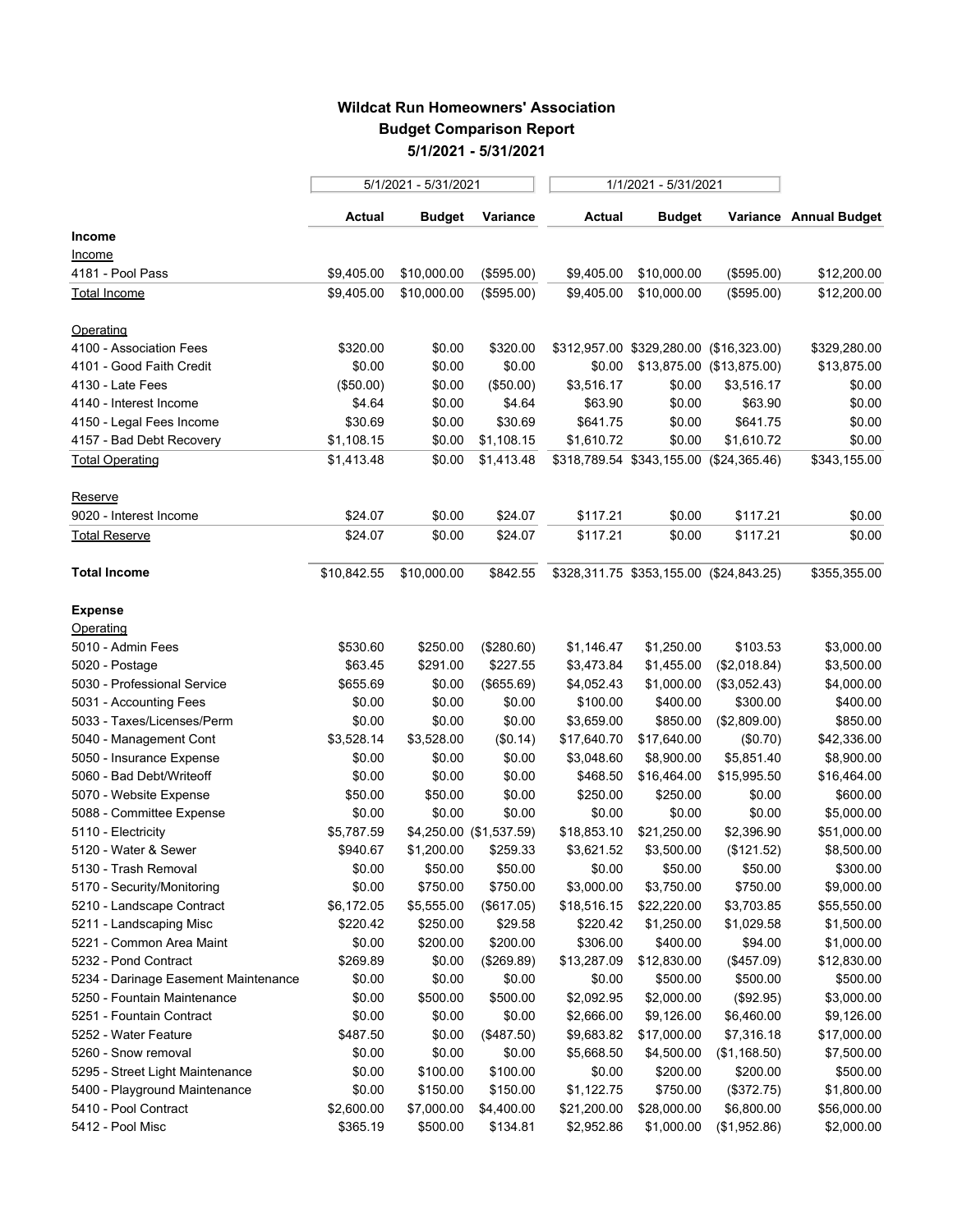## **Wildcat Run Homeowners' Association Budget Comparison Report 5/1/2021 - 5/31/2021**

|                                      | 5/1/2021 - 5/31/2021 |             |                         | 1/1/2021 - 5/31/2021 |                                         |                           |                        |
|--------------------------------------|----------------------|-------------|-------------------------|----------------------|-----------------------------------------|---------------------------|------------------------|
|                                      | Actual               | Budget      | Variance                | <b>Actual</b>        | <b>Budget</b>                           |                           | Variance Annual Budget |
| Income                               |                      |             |                         |                      |                                         |                           |                        |
| <u>Income</u>                        |                      |             |                         |                      |                                         |                           |                        |
| 4181 - Pool Pass                     | \$9,405.00           | \$10,000.00 | (\$595.00)              | \$9,405.00           | \$10,000.00                             | (\$595.00)                | \$12,200.00            |
| Total Income                         | \$9,405.00           | \$10,000.00 | (\$595.00)              | \$9,405.00           | \$10,000.00                             | (\$595.00)                | \$12,200.00            |
| Operating                            |                      |             |                         |                      |                                         |                           |                        |
| 4100 - Association Fees              | \$320.00             | \$0.00      | \$320.00                |                      | \$312,957.00 \$329,280.00 (\$16,323.00) |                           | \$329,280.00           |
| 4101 - Good Faith Credit             | \$0.00               | \$0.00      | \$0.00                  | \$0.00               |                                         | \$13,875.00 (\$13,875.00) | \$13,875.00            |
| 4130 - Late Fees                     | (\$50.00)            | \$0.00      | (\$50.00)               | \$3,516.17           | \$0.00                                  | \$3,516.17                | \$0.00                 |
| 4140 - Interest Income               | \$4.64               | \$0.00      | \$4.64                  | \$63.90              | \$0.00                                  | \$63.90                   | \$0.00                 |
| 4150 - Legal Fees Income             | \$30.69              | \$0.00      | \$30.69                 | \$641.75             | \$0.00                                  | \$641.75                  | \$0.00                 |
| 4157 - Bad Debt Recovery             | \$1,108.15           | \$0.00      | \$1,108.15              | \$1,610.72           | \$0.00                                  | \$1,610.72                | \$0.00                 |
| <b>Total Operating</b>               | \$1,413.48           | \$0.00      | \$1,413.48              |                      | \$318,789.54 \$343,155.00 (\$24,365.46) |                           | \$343,155.00           |
| Reserve                              |                      |             |                         |                      |                                         |                           |                        |
| 9020 - Interest Income               | \$24.07              | \$0.00      | \$24.07                 | \$117.21             | \$0.00                                  | \$117.21                  | \$0.00                 |
| Total Reserve                        | \$24.07              | \$0.00      | \$24.07                 | \$117.21             | \$0.00                                  | \$117.21                  | \$0.00                 |
| <b>Total Income</b>                  | \$10,842.55          | \$10,000.00 | \$842.55                |                      | \$328,311.75 \$353,155.00 (\$24,843.25) |                           | \$355,355.00           |
| <b>Expense</b>                       |                      |             |                         |                      |                                         |                           |                        |
| Operating                            |                      |             |                         |                      |                                         |                           |                        |
| 5010 - Admin Fees                    | \$530.60             | \$250.00    | (\$280.60)              | \$1,146.47           | \$1,250.00                              | \$103.53                  | \$3,000.00             |
| 5020 - Postage                       | \$63.45              | \$291.00    | \$227.55                | \$3,473.84           | \$1,455.00                              | (\$2,018.84)              | \$3,500.00             |
| 5030 - Professional Service          | \$655.69             | \$0.00      | (\$655.69)              | \$4,052.43           | \$1,000.00                              | (\$3,052.43)              | \$4,000.00             |
| 5031 - Accounting Fees               | \$0.00               | \$0.00      | \$0.00                  | \$100.00             | \$400.00                                | \$300.00                  | \$400.00               |
| 5033 - Taxes/Licenses/Perm           | \$0.00               | \$0.00      | \$0.00                  | \$3,659.00           | \$850.00                                | (\$2,809.00)              | \$850.00               |
| 5040 - Management Cont               | \$3,528.14           | \$3,528.00  | (\$0.14)                | \$17,640.70          | \$17,640.00                             | (\$0.70)                  | \$42,336.00            |
| 5050 - Insurance Expense             | \$0.00               | \$0.00      | \$0.00                  | \$3,048.60           | \$8,900.00                              | \$5,851.40                | \$8,900.00             |
| 5060 - Bad Debt/Writeoff             | \$0.00               | \$0.00      | \$0.00                  | \$468.50             | \$16,464.00                             | \$15,995.50               | \$16,464.00            |
| 5070 - Website Expense               | \$50.00              | \$50.00     | \$0.00                  | \$250.00             | \$250.00                                | \$0.00                    | \$600.00               |
| 5088 - Committee Expense             | \$0.00               | \$0.00      | \$0.00                  | \$0.00               | \$0.00                                  | \$0.00                    | \$5,000.00             |
| 5110 - Electricity                   | \$5,787.59           |             | \$4,250.00 (\$1,537.59) | \$18,853.10          | \$21,250.00                             | \$2,396.90                | \$51,000.00            |
| 5120 - Water & Sewer                 | \$940.67             | \$1,200.00  | \$259.33                | \$3,621.52           | \$3,500.00                              | (\$121.52)                | \$8,500.00             |
| 5130 - Trash Removal                 | \$0.00               | \$50.00     | \$50.00                 | \$0.00               | \$50.00                                 | \$50.00                   | \$300.00               |
| 5170 - Security/Monitoring           | \$0.00               | \$750.00    | \$750.00                | \$3,000.00           | \$3,750.00                              | \$750.00                  | \$9,000.00             |
| 5210 - Landscape Contract            | \$6,172.05           | \$5,555.00  | (\$617.05)              | \$18,516.15          | \$22,220.00                             | \$3,703.85                | \$55,550.00            |
| 5211 - Landscaping Misc              | \$220.42             | \$250.00    | \$29.58                 | \$220.42             | \$1,250.00                              | \$1,029.58                | \$1,500.00             |
| 5221 - Common Area Maint             | \$0.00               | \$200.00    | \$200.00                | \$306.00             | \$400.00                                | \$94.00                   | \$1,000.00             |
| 5232 - Pond Contract                 | \$269.89             | \$0.00      | (\$269.89)              | \$13,287.09          | \$12,830.00                             | (\$457.09)                | \$12,830.00            |
| 5234 - Darinage Easement Maintenance | \$0.00               | \$0.00      | \$0.00                  | \$0.00               | \$500.00                                | \$500.00                  | \$500.00               |
| 5250 - Fountain Maintenance          | \$0.00               | \$500.00    | \$500.00                | \$2,092.95           | \$2,000.00                              | (\$92.95)                 | \$3,000.00             |
| 5251 - Fountain Contract             | \$0.00               | \$0.00      | \$0.00                  | \$2,666.00           | \$9,126.00                              | \$6,460.00                | \$9,126.00             |
| 5252 - Water Feature                 | \$487.50             | \$0.00      | (\$487.50)              | \$9,683.82           | \$17,000.00                             | \$7,316.18                | \$17,000.00            |
| 5260 - Snow removal                  | \$0.00               | \$0.00      | \$0.00                  | \$5,668.50           | \$4,500.00                              | (\$1,168.50)              | \$7,500.00             |
| 5295 - Street Light Maintenance      | \$0.00               | \$100.00    | \$100.00                | \$0.00               | \$200.00                                | \$200.00                  | \$500.00               |
| 5400 - Playground Maintenance        | \$0.00               | \$150.00    | \$150.00                | \$1,122.75           | \$750.00                                | (\$372.75)                | \$1,800.00             |
| 5410 - Pool Contract                 | \$2,600.00           | \$7,000.00  | \$4,400.00              | \$21,200.00          | \$28,000.00                             | \$6,800.00                | \$56,000.00            |
| 5412 - Pool Misc                     | \$365.19             | \$500.00    | \$134.81                | \$2,952.86           | \$1,000.00                              | (\$1,952.86)              | \$2,000.00             |